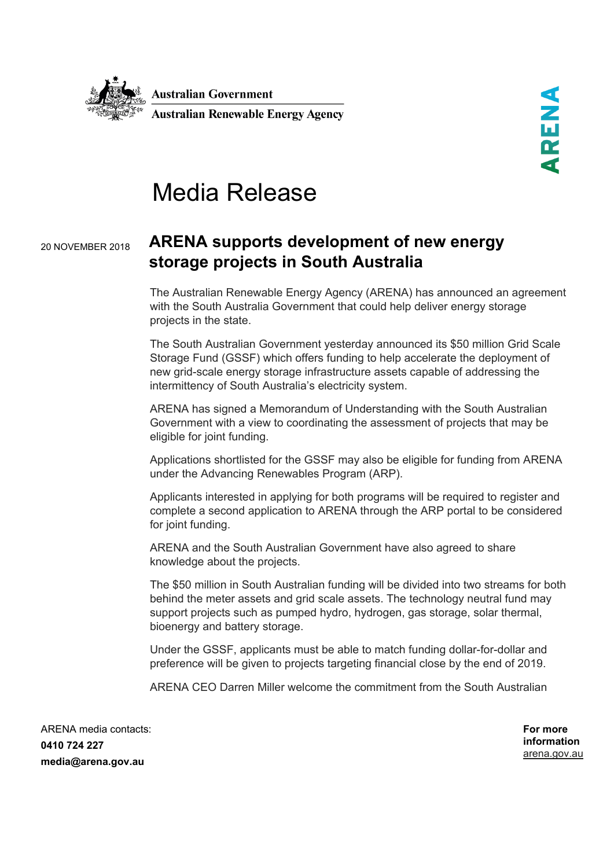

## Media Release

## 20 NOVEMBER 2018 **ARENA supports development of new energy storage projects in South Australia**

The Australian Renewable Energy Agency (ARENA) has announced an agreement with the South Australia Government that could help deliver energy storage projects in the state.

The South Australian Government yesterday announced its \$50 million Grid Scale Storage Fund (GSSF) which offers funding to help accelerate the deployment of new grid-scale energy storage infrastructure assets capable of addressing the intermittency of South Australia's electricity system.

ARENA has signed a Memorandum of Understanding with the South Australian Government with a view to coordinating the assessment of projects that may be eligible for joint funding.

Applications shortlisted for the GSSF may also be eligible for funding from ARENA under the Advancing Renewables Program (ARP).

Applicants interested in applying for both programs will be required to register and complete a second application to ARENA through the ARP portal to be considered for joint funding.

ARENA and the South Australian Government have also agreed to share knowledge about the projects.

The \$50 million in South Australian funding will be divided into two streams for both behind the meter assets and grid scale assets. The technology neutral fund may support projects such as pumped hydro, hydrogen, gas storage, solar thermal, bioenergy and battery storage.

Under the GSSF, applicants must be able to match funding dollar-for-dollar and preference will be given to projects targeting financial close by the end of 2019.

ARENA CEO Darren Miller welcome the commitment from the South Australian

ARENA media contacts: **0410 724 227 media@arena.gov.au**

**For more information** [arena.gov.au](http://www.arena.gov.au/)